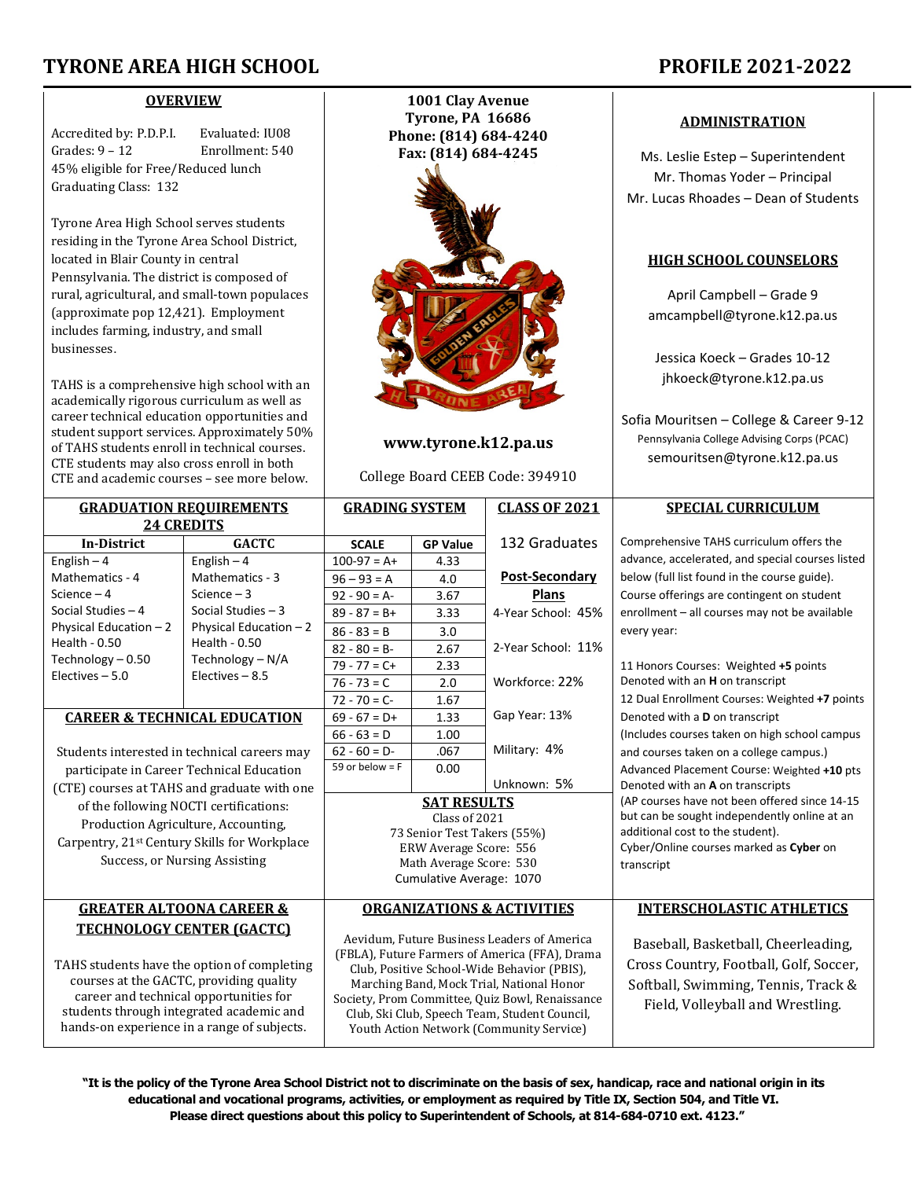# **TYRONE AREA HIGH SCHOOL PROFILE 2021-2022**

#### **OVERVIEW**

Accredited by: P.D.P.I. Evaluated: IU08<br>Grades: 9 – 12 Enrollment: 540 Enrollment: 540 45% eligible for Free/Reduced lunch Graduating Class: 132

Tyrone Area High School serves students residing in the Tyrone Area School District, located in Blair County in central Pennsylvania. The district is composed of rural, agricultural, and small-town populaces (approximate pop 12,421). Employment includes farming, industry, and small businesses.

TAHS is a comprehensive high school with an academically rigorous curriculum as well as career technical education opportunities and student support services. Approximately 50% of TAHS students enroll in technical courses. CTE students may also cross enroll in both CTE and academic courses – see more below.

> **GRADUATION REQUIREMENTS 24 CREDITS**

> > $Enolich = A$

English  $\Lambda$ 

**In-District GACTC SCALE GP Value**

**1001 Clay Avenue Tyrone, PA 16686 Phone: (814) 684-4240 Fax: (814) 684-4245**



# **www.tyrone.k12.pa.us**

College Board CEEB Code: 394910

**GRADING SYSTEM CLASS OF 2021**

 $100-97 = 4 + 4.33$ 

132 Graduates

### **ADMINISTRATION**

Ms. Leslie Estep – Superintendent Mr. Thomas Yoder – Principal Mr. Lucas Rhoades – Dean of Students

# **HIGH SCHOOL COUNSELORS**

April Campbell – Grade 9 amcampbell@tyrone.k12.pa.us

Jessica Koeck – Grades 10-12 jhkoeck@tyrone.k12.pa.us

Sofia Mouritsen – College & Career 9-12 Pennsylvania College Advising Corps (PCAC) semouritsen@tyrone.k12.pa.us

# **SPECIAL CURRICULUM**

Comprehensive TAHS curriculum offers the advance, accelerated, and special courses listed

| Mathematics - 4                                                                        | Mathematics - 3                              | $96 - 93 = A$                                                                                                                                                                             | 4.0                                             | <b>Post-Secondary</b>            | below (full list found in the course guide).   |
|----------------------------------------------------------------------------------------|----------------------------------------------|-------------------------------------------------------------------------------------------------------------------------------------------------------------------------------------------|-------------------------------------------------|----------------------------------|------------------------------------------------|
| Science – 4                                                                            | Science $-3$                                 | $92 - 90 = A$                                                                                                                                                                             | 3.67                                            | <b>Plans</b>                     | Course offerings are contingent on student     |
| Social Studies – 4                                                                     | Social Studies $-3$                          | $89 - 87 = B +$                                                                                                                                                                           | 3.33                                            | 4-Year School: 45%               | enrollment - all courses may not be available  |
| Physical Education - 2                                                                 | Physical Education $-2$                      | $86 - 83 = B$                                                                                                                                                                             | 3.0                                             |                                  | every year:                                    |
| Health - 0.50                                                                          | Health - 0.50                                | $82 - 80 = B -$                                                                                                                                                                           | 2.67                                            | 2-Year School: 11%               |                                                |
| Technology – 0.50                                                                      | Technology - N/A                             | $79 - 77 = C +$                                                                                                                                                                           | 2.33                                            |                                  | 11 Honors Courses: Weighted +5 points          |
| Electives - 5.0                                                                        | Electives $-8.5$                             | $76 - 73 = C$                                                                                                                                                                             | 2.0                                             | Workforce: 22%                   | Denoted with an H on transcript                |
|                                                                                        |                                              | $72 - 70 = C -$                                                                                                                                                                           | 1.67                                            |                                  | 12 Dual Enrollment Courses: Weighted +7 points |
| <b>CAREER &amp; TECHNICAL EDUCATION</b>                                                |                                              | $69 - 67 = D+$                                                                                                                                                                            | 1.33                                            | Gap Year: 13%                    | Denoted with a D on transcript                 |
|                                                                                        |                                              | $66 - 63 = D$                                                                                                                                                                             | 1.00                                            |                                  | (Includes courses taken on high school campus  |
|                                                                                        | Students interested in technical careers may | $62 - 60 = D$                                                                                                                                                                             | .067                                            | Military: 4%                     | and courses taken on a college campus.)        |
| participate in Career Technical Education                                              |                                              | 59 or below = $F$                                                                                                                                                                         | 0.00                                            |                                  | Advanced Placement Course: Weighted +10 pts    |
| (CTE) courses at TAHS and graduate with one                                            |                                              |                                                                                                                                                                                           |                                                 | Unknown: 5%                      | Denoted with an A on transcripts               |
| of the following NOCTI certifications:                                                 |                                              | <b>SAT RESULTS</b>                                                                                                                                                                        |                                                 |                                  | (AP courses have not been offered since 14-15  |
| Production Agriculture, Accounting,                                                    |                                              | Class of 2021                                                                                                                                                                             |                                                 |                                  | but can be sought independently online at an   |
|                                                                                        |                                              | 73 Senior Test Takers (55%)                                                                                                                                                               |                                                 |                                  | additional cost to the student).               |
| Carpentry, 21 <sup>st</sup> Century Skills for Workplace                               |                                              | ERW Average Score: 556                                                                                                                                                                    |                                                 |                                  | Cyber/Online courses marked as Cyber on        |
| Success, or Nursing Assisting                                                          |                                              | Math Average Score: 530<br>Cumulative Average: 1070                                                                                                                                       |                                                 |                                  | transcript                                     |
|                                                                                        |                                              |                                                                                                                                                                                           |                                                 |                                  |                                                |
| <b>GREATER ALTOONA CAREER &amp;</b>                                                    | <b>ORGANIZATIONS &amp; ACTIVITIES</b>        |                                                                                                                                                                                           |                                                 | <b>INTERSCHOLASTIC ATHLETICS</b> |                                                |
| <b>TECHNOLOGY CENTER (GACTC)</b>                                                       |                                              |                                                                                                                                                                                           |                                                 |                                  |                                                |
| TAHS students have the option of completing<br>courses at the GACTC, providing quality |                                              | Aevidum, Future Business Leaders of America<br>(FBLA), Future Farmers of America (FFA), Drama<br>Club, Positive School-Wide Behavior (PBIS),<br>Marching Band, Mock Trial, National Honor |                                                 |                                  | Baseball, Basketball, Cheerleading,            |
|                                                                                        |                                              |                                                                                                                                                                                           |                                                 |                                  | Cross Country, Football, Golf, Soccer,         |
|                                                                                        |                                              |                                                                                                                                                                                           |                                                 |                                  | Softball, Swimming, Tennis, Track &            |
| career and technical opportunities for                                                 |                                              | Society, Prom Committee, Quiz Bowl, Renaissance                                                                                                                                           |                                                 |                                  | Field, Volleyball and Wrestling.               |
| students through integrated academic and                                               |                                              | Club, Ski Club, Speech Team, Student Council,                                                                                                                                             |                                                 |                                  |                                                |
| hands-on experience in a range of subjects.                                            |                                              |                                                                                                                                                                                           | <b>Youth Action Network (Community Service)</b> |                                  |                                                |
|                                                                                        |                                              |                                                                                                                                                                                           |                                                 |                                  |                                                |

**"It is the policy of the Tyrone Area School District not to discriminate on the basis of sex, handicap, race and national origin in its educational and vocational programs, activities, or employment as required by Title IX, Section 504, and Title VI. Please direct questions about this policy to Superintendent of Schools, at 814-684-0710 ext. 4123."**